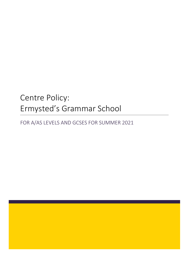# Centre Policy: Ermysted's Grammar School

FOR A/AS LEVELS AND GCSES FOR SUMMER 2021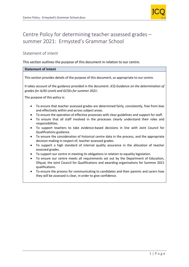

## Centre Policy for determining teacher assessed grades – summer 2021: Ermysted's Grammar School

### Statement of intent

This section outlines the purpose of this document in relation to our centre.

### **Statement of Intent**

This section provides details of the purpose of this document, as appropriate to our centre.

It takes account of the guidance provided in the document: *JCQ Guidance on the determination of grades for A/AS Levels and GCSEs for summer 2021:*

The purpose of this policy is:

- To ensure that teacher assessed grades are determined fairly, consistently, free from bias and effectively within and across subject areas.
- To ensure the operation of effective processes with clear guidelines and support for staff.
- To ensure that all staff involved in the processes clearly understand their roles and responsibilities.
- To support teachers to take evidence-based decisions in line with Joint Council for Qualifications guidance.
- To ensure the consideration of historical centre data in the process, and the appropriate decision making in respect of, teacher assessed grades.
- To support a high standard of internal quality assurance in the allocation of teacher assessed grades.
- To support our centre in meeting its obligations in relation to equality legislation.
- To ensure our centre meets all requirements set out by the Department of Education, Ofqual, the Joint Council for Qualifications and awarding organisations for Summer 2021 qualifications.
- To ensure the process for communicating to candidates and their parents and carers how they will be assessed is clear, in order to give confidence.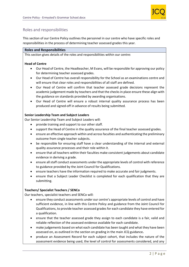

### Roles and responsibilities

This section of our Centre Policy outlines the personnel in our centre who have specific roles and responsibilities in the process of determining teacher assessed grades this year.

#### **Roles and Responsibilities**

This section gives details of the roles and responsibilities within our centre:

#### **Head of Centre**

- Our Head of Centre, the Headteacher, M Evans, will be responsible for approving our policy for determining teacher assessed grades.
- Our Head of Centre has overall responsibility for the School as an examinations centre and will ensure that clear roles and responsibilities of all staff are defined.
- Our Head of Centre will confirm that teacher assessed grade decisions represent the academic judgement made by teachers and that the checks in place ensure these align with the guidance on standards provided by awarding organisations.
- Our Head of Centre will ensure a robust internal quality assurance process has been produced and signed-off in advance of results being submitted.

#### **Senior Leadership Team and Subject Leaders**

Our Senior Leadership Team and Subject Leaders will:

- provide training and support to our other staff.
- support the Head of Centre in the quality assurance of the final teacher assessed grades.
- ensure an effective approach within and across faculties and authenticating the preliminary outcome from single teacher subjects.
- be responsible for ensuring staff have a clear understanding of the internal and external quality assurance processes and their role within it.
- ensure that all teachers within their faculties make consistent judgements about candidate evidence in deriving a grade.
- ensure all staff conduct assessments under the appropriate levels of control with reference to guidance provided by the Joint Council for Qualifications.
- ensure teachers have the information required to make accurate and fair judgments.
- ensure that a Subject Leader Checklist is completed for each qualification that they are submitting.

#### **Teachers/ Specialist Teachers / SENCo**

Our teachers, specialist teachers and SENCo will:

- ensure they conduct assessments under our centre's appropriate levels of control and have sufficient evidence, in line with this Centre Policy and guidance from the Joint Council for Qualifications, to provide teacher assessed grades for each candidate they have entered for a qualification.
- ensure that the teacher assessed grade they assign to each candidate is a fair, valid and reliable reflection of the assessed evidence available for each candidate.
- make judgements based on what each candidate has been taught and what they have been assessed on, as outlined in the section on grading in the main JCQ guidance**.**
- produce an Assessment Record for each subject cohort, that includes the nature of the assessment evidence being used, the level of control for assessments considered, and any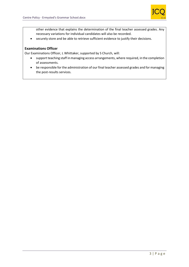

other evidence that explains the determination of the final teacher assessed grades. Any necessary variations for individual candidates will also be recorded.

securely store and be able to retrieve sufficient evidence to justify their decisions.

### **Examinations Officer**

Our Examinations Officer, L Whittaker, supported by S Church, will:

- support teaching staff in managing access arrangements, where required, in the completion of assessments.
- be responsible for the administration of our final teacher assessed grades and for managing the post-results services.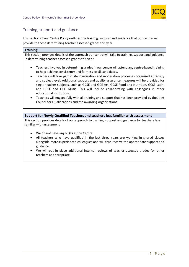

### Training, support and guidance

This section of our Centre Policy outlines the training, support and guidance that our centre will provide to those determining teacher assessed grades this year.

#### **Training**

This section provides details of the approach our centre will take to training, support and guidance in determining teacher assessed grades this year

- Teachers involved in determining grades in our centre will attend any centre-based training to help achieve consistency and fairness to all candidates.
- Teachers will take part in standardisation and moderation processes organised at faculty and subject level. Additional support and quality assurance measures will be provided for single teacher subjects, such as GCSE and GCE Art, GCSE Food and Nutrition, GCSE Latin, and GCSE and GCE Music. This will include collaborating with colleagues in other educational institutions.
- Teachers will engage fully with all training and support that has been provided by the Joint Council for Qualifications and the awarding organisations.

### **Support for Newly Qualified Teachers and teachers less familiar with assessment**

This section provides details of our approach to training, support and guidance for teachers less familiar with assessment

- We do not have any NQTs at the Centre.
- All teachers who have qualified in the last three years are working in shared classes alongside more experienced colleagues and will thus receive the appropriate support and guidance.
- We will put in place additional internal reviews of teacher assessed grades for other teachers as appropriate.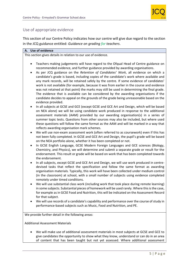

### Use of appropriate evidence

This section of our Centre Policy indicates how our centre will give due regard to the section in the JCQ guidance entitled: *Guidance on grading for teachers*.

#### **A. Use of evidence**

This section gives details in relation to our use of evidence.

- Teachers making judgements will have regard to the Ofqual Head of Centre guidance on recommended evidence, and further guidance provided by awarding organisations.
- As per JCQ guidance on the *Retention of Candidates' Work*, all evidence on which a candidate's grade is based, including copies of the candidate's work where available and any mark records, will be retained safely by the centre. If some evidence of candidates' work is not available (for example, because it was from earlier in the course and evidence was not retained at that point) the marks may still be used in determining the final grade. The evidence that is available can be considered by the awarding organisations if the candidate decides to appeal on the grounds of the grade being unreasonable based on the evidence provided.
- In all subjects at GCSE and GCE (except GCSE and GCE Art and Design, which will be based on NEA alone) we will be using candidate work produced in response to the additional assessment materials (AAM) provided by our awarding organisation(s) in a series of summer topic tests. Questions from other sources may also be included, but where used these questions will follow the same format as the AAM and will be marked in a way that reflects awarding organisation mark schemes.
- We will use non-exam assessment work (often referred to as coursework) even if this has not been fully completed. In GCSE and GCE Art and Design, the pupil's grade will be based on the NEA portfolio alone, whether it has been completed or not.
- In GCSE English Language, GCSE Modern Foreign Languages and GCE sciences (Biology, Chemistry, and Physics), we will determine and submit a separate grade or result for the endorsement. This result or grade will be based on work that has been completed towards the endorsement.
- In all subjects, except GCSE and GCE Art and Design, we will use work produced in centredevised tasks that reflect the specification and follow the same format as awarding organisation materials. Typically, this work will have been collected under medium control (in the classroom) at school, with a small number of subjects using evidence completed remotely under timed conditions.
- We will use substantial class work (including work that took place during remote learning) in some subjects. Substantial pieces of homework will be used rarely. Where this is the case, for example as in GCSE Food and Nutrition, this will be indicated on the Assessment Record for that subject.
- We will use records of a candidate's capability and performance over the course of study in performance-based subjects such as Music, Food and Nutrition, and PE.

We provide further detail in the following areas:

Additional Assessment Materials

 We will make use of additional assessment materials in most subjects at GCSE and GCE to give candidates the opportunity to show what they know, understand or can do in an area of content that has been taught but not yet assessed. Where additional assessment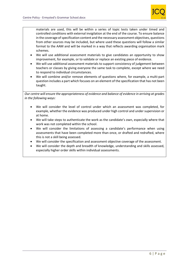

materials are used, this will be within a series of topic tests taken under timed and controlled conditions with external invigilation at the end of the course. To ensure balance in the coverage of specification content and the necessary assessment objectives, questions from other sources may be included, but where used these questions will follow a similar format to the AAM and will be marked in a way that reflects awarding organisation mark schemes.

- We will use additional assessment materials to give candidates an opportunity to show improvement, for example, or to validate or replace an existing piece of evidence.
- We will use additional assessment materials to support consistency of judgement between teachers or classes by giving everyone the same task to complete, except where we need to respond to individual circumstances.
- We will combine and/or remove elements of questions where, for example, a multi-part question includes a part which focuses on an element of the specification that has not been taught.

*Our centre will ensure the appropriateness of evidence and balance of evidence in arriving at grades in the following ways:*

- We will consider the level of control under which an assessment was completed, for example, whether the evidence was produced under high control and under supervision or at home.
- We will take steps to authenticate the work as the candidate's own, especially where that work was not completed within the school.
- We will consider the limitations of assessing a candidate's performance when using assessments that have been completed more than once, or drafted and redrafted, where this is not a skill being assessed.
- We will consider the specification and assessment objective coverage of the assessment.
- We will consider the depth and breadth of knowledge, understanding and skills assessed, especially higher order skills within individual assessments.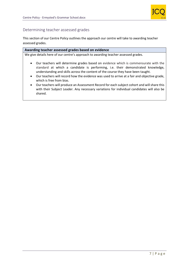

### Determining teacher assessed grades

This section of our Centre Policy outlines the approach our centre will take to awarding teacher assessed grades.

| Awarding teacher assessed grades based on evidence                                 |                                                                                                                                                                                                                                                                                                                                                           |  |  |
|------------------------------------------------------------------------------------|-----------------------------------------------------------------------------------------------------------------------------------------------------------------------------------------------------------------------------------------------------------------------------------------------------------------------------------------------------------|--|--|
| We give details here of our centre's approach to awarding teacher assessed grades. |                                                                                                                                                                                                                                                                                                                                                           |  |  |
| $\bullet$<br>$\bullet$                                                             | Our teachers will determine grades based on evidence which is commensurate with the<br>standard at which a candidate is performing, i.e. their demonstrated knowledge,<br>understanding and skills across the content of the course they have been taught.<br>Our teachers will record how the evidence was used to arrive at a fair and objective grade, |  |  |
| $\bullet$                                                                          | which is free from bias.<br>Our teachers will produce an Assessment Record for each subject cohort and will share this                                                                                                                                                                                                                                    |  |  |

with their Subject Leader. Any necessary variations for individual candidates will also be shared.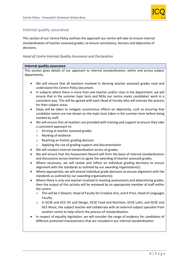

### Internal quality assurance

This section of our Centre Policy outlines the approach our centre will take to ensure internal standardisation of teacher assessed grades, to ensure consistency, fairness and objectivity of decisions.

### *Head of Centre Internal Quality Assurance and Declaration*

#### **Internal quality assurance**

This section gives details of our approach to internal standardisation, within and across subject departments.

- We will ensure that all teachers involved in deriving teacher assessed grades read and understand this Centre Policy document.
- In subjects where there is more than one teacher and/or class in the department, we will ensure that in the summer topic tests and NEAs our centre marks candidates' work in a consistent way. This will be agreed with each Head of Faculty who will oversee the process for their subject areas.
- Steps will be taken to mitigate unconscious effects on objectivity, such as ensuring that candidate names are not shown on the topic tests taken in the summer term before being marked by staff.
- We will ensure that all teachers are provided with training and support to ensure they take a consistent approach to:
	- o Arriving at teacher assessed grades
	- o Marking of evidence
	- o Reaching an holistic grading decision
	- o Applying the use of grading support and documentation
- We will conduct internal standardisation across all grades.
- We will ensure that the Assessment Record will form the basis of internal standardisation and discussions across teachers to agree the awarding of teacher assessed grades.
- Where necessary, we will review and reflect on individual grading decisions to ensure alignment with the standards as outlined by our awarding organisation(s).
- Where appropriate, we will amend individual grade decisions to ensure alignment with the standards as outlined by our awarding organisation(s).
- Where there is only one teacher involved in marking assessments and determining grades, then the output of this activity will be reviewed by an appropriate member of staff within the centre.
	- o This will be S Stewart, Head of Faculty for Creative Arts, and A Price, Head of Languages Faculty.
	- o In GCSE and GCE Art and Design, GCSE Food and Nutrition, GCSE Latin, and GCSE and GCE Music, the subject teacher will collaborate with an external subject specialist from another centre to help inform the process of standardisation.
- In respect of equality legislation, we will consider the range of evidence for candidates of different protected characteristics that are included in our internal standardisation.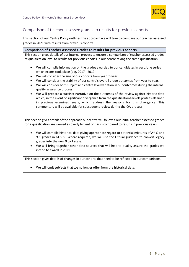

### Comparison of teacher assessed grades to results for previous cohorts

This section of our Centre Policy outlines the approach we will take to compare our teacher assessed grades in 2021 with results from previous cohorts.

| <b>Comparison of Teacher Assessed Grades to results for previous cohorts</b>                                                                                                                                                                                                                                                                                            |  |  |  |
|-------------------------------------------------------------------------------------------------------------------------------------------------------------------------------------------------------------------------------------------------------------------------------------------------------------------------------------------------------------------------|--|--|--|
| This section gives details of our internal process to ensure a comparison of teacher assessed grades<br>at qualification level to results for previous cohorts in our centre taking the same qualification.                                                                                                                                                             |  |  |  |
| We will compile information on the grades awarded to our candidates in past June series in<br>$\bullet$<br>which exams took place (e.g. 2017 - 2019).<br>We will consider the size of our cohorts from year to year.<br>$\bullet$                                                                                                                                       |  |  |  |
| We will consider the stability of our centre's overall grade outcomes from year to year.<br>$\bullet$<br>We will consider both subject and centre level variation in our outcomes during the internal<br>$\bullet$<br>quality assurance process.                                                                                                                        |  |  |  |
| We will prepare a succinct narrative on the outcomes of the review against historic data<br>$\bullet$<br>which, in the event of significant divergence from the qualifications-levels profiles attained<br>in previous examined years, which address the reasons for this divergence. This<br>commentary will be available for subsequent review during the QA process. |  |  |  |
| This section gives details of the approach our centre will follow if our initial teacher assessed grades<br>for a qualification are viewed as overly lenient or harsh compared to results in previous years.                                                                                                                                                            |  |  |  |
| $\sim$ 100 $\mu$ 100 $\mu$ 100 $\mu$ 200 $\mu$ 200 $\mu$ 200 $\mu$ 200 $\mu$ 200 $\mu$ 200 $\mu$ 200 $\mu$ 200 $\mu$ 200 $\mu$ 200 $\mu$                                                                                                                                                                                                                                |  |  |  |

- We will compile historical data giving appropriate regard to potential mixtures of A\*-G and 9-1 grades in GCSEs. Where required, we will use the Ofqual guidance to convert legacy grades into the new 9 to 1 scale.
- We will bring together other data sources that will help to quality assure the grades we intend to award in 2021.

This section gives details of changes in our cohorts that need to be reflected in our comparisons.

We will omit subjects that we no longer offer from the historical data.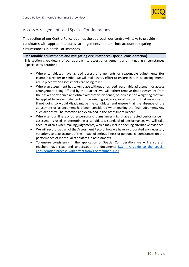

### Access Arrangements and Special Considerations

This section of our Centre Policy outlines the approach our centre will take to provide candidates with appropriate access arrangements and take into account mitigating circumstances in particular instances.

**Reasonable adjustments and mitigating circumstances (special consideration)** This section gives details of our approach to access arrangements and mitigating circumstances (special consideration).

- Where candidates have agreed access arrangements or reasonable adjustments (for example a reader or scribe) we will make every effort to ensure that these arrangements are in place when assessments are being taken.
- Where an assessment has taken place without an agreed reasonable adjustment or access arrangement being offered by the teacher, we will either: remove that assessment from the basket of evidence and obtain alternative evidence, or increase the weighting that will be applied to relevant elements of the existing evidence, or allow use of that assessment, if not doing so would disadvantage the candidate, and ensure that the absence of the adjustment or arrangement had been considered when making the final judgement. Any such actions will be recorded and explained in the Assessment Record.
- Where serious illness or other personal circumstances might have affected performance in assessments used in determining a candidate's standard of performance, we will take account of this when making judgements, which may include seeking alternative evidence.
- We will record, as part of the Assessment Record, how we have incorporated any necessary variations to take account of the impact of serious illness or personal circumstances on the performance of individual candidates in assessments.
- To ensure consistency in the application of Special Consideration, we will ensure all teachers have read and understood the document:  $JCQ - A$  guide to the special [consideration process, with effect from 1 September 2020](https://www.jcq.org.uk/wp-content/uploads/2020/08/A-guide-to-the-spec-con-process-202021-Website-version.pdf)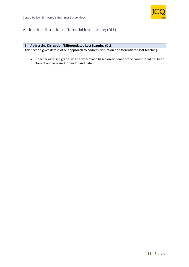

### Addressing disruption/differential lost learning (DLL)

#### B. **Addressing Disruption/Differentiated Lost Learning (DLL)**

This section gives details of our approach to address disruption or differentiated lost teaching.

 Teacher assessed grades will be determined based on evidence of the content that has been taught and assessed for each candidate.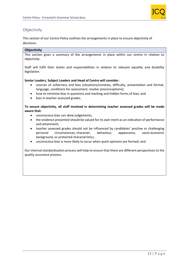

### Objectivity

This section of our Centre Policy outlines the arrangements in place to ensure objectivity of decisions.

### **Objectivity**

This section gives a summary of the arrangements in place within our centre in relation to objectivity.

Staff will fulfil their duties and responsibilities in relation to relevant equality and disability legislation.

### **Senior Leaders, Subject Leaders and Head of Centre will consider:**

- sources of unfairness and bias (situations/contexts, difficulty, presentation and format, language, conditions for assessment, marker preconceptions);
- how to minimise bias in questions and marking and hidden forms of bias; and
- bias in teacher assessed grades.

**To ensure objectivity, all staff involved in determining teacher assessed grades will be made aware that:**

- unconscious bias can skew judgements;
- the evidence presented should be valued for its own merit as an indication of performance and attainment;
- teacher assessed grades should not be influenced by candidates' positive or challenging personal circumstances, character, behaviour, appearance, socio-economic background, or protected characteristics;
- unconscious bias is more likely to occur when quick opinions are formed; and

Our internal standardisation process will help to ensure that there are different perspectives to the quality assurance process.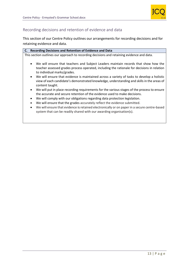

### Recording decisions and retention of evidence and data

This section of our Centre Policy outlines our arrangements for recording decisions and for retaining evidence and data.

| C. Recording Decisions and Retention of Evidence and Data                                  |                                                                                             |  |
|--------------------------------------------------------------------------------------------|---------------------------------------------------------------------------------------------|--|
| This section outlines our approach to recording decisions and retaining evidence and data. |                                                                                             |  |
|                                                                                            |                                                                                             |  |
| $\bullet$                                                                                  | We will ensure that teachers and Subject Leaders maintain records that show how the         |  |
|                                                                                            | teacher assessed grades process operated, including the rationale for decisions in relation |  |
| to individual marks/grades.                                                                |                                                                                             |  |
| $\bullet$                                                                                  | We will ensure that evidence is maintained across a variety of tasks to develop a holistic  |  |
|                                                                                            | view of each candidate's demonstrated knowledge, understanding and skills in the areas of   |  |
| content taught.                                                                            |                                                                                             |  |
| $\bullet$                                                                                  | We will put in place recording requirements for the various stages of the process to ensure |  |
| the accurate and secure retention of the evidence used to make decisions.                  |                                                                                             |  |
| We will comply with our obligations regarding data protection legislation.<br>$\bullet$    |                                                                                             |  |

- We will ensure that the grades accurately reflect the evidence submitted.
- We will ensure that evidence is retained electronically or on paper in a secure centre-based system that can be readily shared with our awarding organisation(s).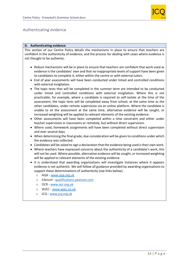

### Authenticating evidence

#### **D. Authenticating evidence**

This section of our Centre Policy details the mechanisms in place to ensure that teachers are confident in the authenticity of evidence, and the process for dealing with cases where evidence is not thought to be authentic.

- Robust mechanisms will be in place to ensure that teachers are confident that work used as evidence is the candidates' own and that no inappropriate levels of support have been given to candidates to complete it, either within the centre or with external tutors.
- End of year assessments will have been conducted under timed and controlled conditions with external invigilation.
- The topic tests that will be completed in the summer term are intended to be conducted under timed and controlled conditions with external invigilation. Where this is not practicable, for example, where a candidate is required to self-isolate at the time of the assessment, the topic tests will be completed away from school, at the same time as the other candidates, under remote supervision via an online platform. Where the candidate is unable to sit the assessment at the same time, alternative evidence will be sought, or increased weighting will be applied to relevant elements of the existing evidence.
- Other assessments will have been completed within a time constraint and either under teacher supervision in classrooms or remotely, but without direct supervision.
- Where used, homework assignments will have been completed without direct supervision and over several days.
- When determining the final grade, due consideration will be given to conditions under which the evidence was collected.
- Candidates will be asked to sign a declaration that the evidence being used is their own work.
- Where teachers have expressed concerns about the authenticity of a candidate's work, this will not be used. Where possible, alternative evidence will be sought, or increased weighting will be applied to relevant elements of the existing evidence.
- It is understood that awarding organisations will investigate instances where it appears evidence is not authentic. We will follow all guidance provided by awarding organisations to support these determinations of authenticity (see links below).
	- o AQA [www.aqa.org.uk](http://www.aqa.org.uk/)
	- o Edexcel [qualifications.pearson.com](https://qualifications.pearson.com/en/home.html)
	- o OCR [www.ocr.org.uk](http://www.ocr.org.uk/)
	- o WJEC [www.wjec.co.uk](http://www.wjec.co.uk/)
	- o JCQ [www.jcq.org.uk](http://www.jcq.org.uk/)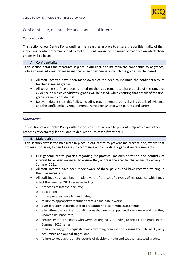

### Confidentiality, malpractice and conflicts of interest

#### Confidentiality

This section of our Centre Policy outlines the measures in place to ensure the confidentiality of the grades our centre determines, and to make students aware of the range of evidence on which those grades will be based.

#### **A. Confidentiality**

This section details the measures in place in our centre to maintain the confidentiality of grades, while sharing information regarding the range of evidence on which the grades will be based.

- All staff involved have been made aware of the need to maintain the confidentiality of teacher assessed grades.
- All teaching staff have been briefed on the requirement to share details of the range of evidence on which candidates' grades will be based, while ensuring that details of the final grades remain confidential.
- Relevant details from this Policy, including requirements around sharing details of evidence and the confidentiality requirements, have been shared with parents and carers.

#### *Malpractice*

This section of our Centre Policy outlines the measures in place to prevent malpractice and other breaches of exam regulations, and to deal with such cases if they occur.

#### **B. Malpractice**

This section details the measures in place in our centre to prevent malpractice and, where that proves impossible, to handle cases in accordance with awarding organisation requirements.

- Our general centre policies regarding malpractice, maladministration and conflicts of interest have been reviewed to ensure they address the specific challenges of delivery in Summer 2021.
- All staff involved have been made aware of these policies and have received training in them, as necessary.
- All staff involved have been made aware of the specific types of malpractice which may affect the Summer 2021 series including:
	- o breaches of internal security;
	- o deception;
	- o improper assistance to candidates;
	- o failure to appropriately authenticate a candidate's work;
	- o over direction of candidates in preparation for common assessments;
	- $\circ$  allegations that centres submit grades that are not supported by evidence and that they know to be inaccurate;
	- $\circ$  centres enter candidates who were not originally intending to certificate a grade in the Summer 2021 series;
	- $\circ$  failure to engage as requested with awarding organisations during the External Quality Assurance and appeal stages; and
	- o failure to keep appropriate records of decisions made and teacher assessed grades.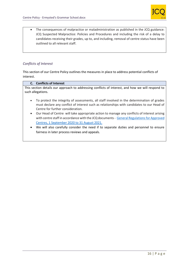

 The consequences of malpractice or maladministration as published in the JCQ guidance: [JCQ Suspected](https://www.jcq.org.uk/exams-office/malpractice/jcq-suspected-malpractice-policies-and-procedures-2019-2020) Malpractice: Policies and Procedures and including the risk of a delay to candidates receiving their grades, up to, and including, removal of centre status have been outlined to all relevant staff.

### *Conflicts of Interest*

This section of our Centre Policy outlines the measures in place to address potential conflicts of interest.

#### **C. Conflicts of Interest**

This section details our approach to addressing conflicts of interest, and how we will respond to such allegations.

- To protect the integrity of assessments, all staff involved in the determination of grades must declare any conflict of interest such as relationships with candidates to our Head of Centre for further consideration.
- Our Head of Centre will take appropriate action to manage any conflicts of interest arising with centre staff in accordance with the JCQ documents- [General Regulations for Approved](https://www.jcq.org.uk/wp-content/uploads/2020/09/Gen_regs_approved_centres_20-21_FINAL.pdf)  [Centres, 1 September 2020 to 31 August 2021.](https://www.jcq.org.uk/wp-content/uploads/2020/09/Gen_regs_approved_centres_20-21_FINAL.pdf)
- We will also carefully consider the need if to separate duties and personnel to ensure fairness in later process reviews and appeals.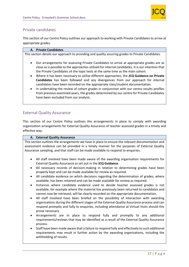

### Private candidates

This section of our Centre Policy outlines our approach to working with Private Candidates to arrive at appropriate grades.

| A. Private Candidates                                                                                                                                                                                                                                                                                                                                                                                                                                                                                                                                                                                                                                                                                                                                                                                                      |  |  |
|----------------------------------------------------------------------------------------------------------------------------------------------------------------------------------------------------------------------------------------------------------------------------------------------------------------------------------------------------------------------------------------------------------------------------------------------------------------------------------------------------------------------------------------------------------------------------------------------------------------------------------------------------------------------------------------------------------------------------------------------------------------------------------------------------------------------------|--|--|
| This section details our approach to providing and quality assuring grades to Private Candidates.                                                                                                                                                                                                                                                                                                                                                                                                                                                                                                                                                                                                                                                                                                                          |  |  |
| Our arrangements for assessing Private Candidates to arrive at appropriate grades are as<br>$\bullet$<br>close as is possible to the approaches utilised for internal candidates. It is our intention that<br>the Private Candidates sit the topic tests at the same time as the main cohort.<br>Where it has been necessary to utilise different approaches, the JCQ Guidance on Private<br>$\bullet$<br>Candidates has been followed and any divergences from our approach for internal<br>candidates have been recorded on the appropriate class/student documentation.<br>In undertaking the review of cohort grades in conjunction with our centre results profiles<br>$\bullet$<br>from previous examined years, the grades determined by our centre for Private Candidates<br>have been excluded from our analysis. |  |  |

### External Quality Assurance

This section of our Centre Policy outlines the arrangements in place to comply with awarding organisation arrangements for External Quality Assurance of teacher assessed grades in a timely and effective way.

#### **A. External Quality Assurance**

This section outlines the arrangements we have in place to ensure the relevant documentation and assessment evidence can be provided in a timely manner for the purposes of External Quality Assurance sampling, and that staff can be made available to respond to enquiries.

- All staff involved have been made aware of the awarding organisation requirements for External Quality Assurance as set out in the **JCQ Guidance**.
- All necessary records of decision-making in relation to determining grades have been properly kept and can be made available for review as required.
- All candidate evidence on which decisions regarding the determination of grades, where available, has been retained and can be made available for review as required.
- Instances where candidate evidence used to decide teacher assessed grades is not available, for example where the material has previously been returned to candidates and cannot now be retrieved, will be clearly recorded on the appropriate documentation.
- All staff involved have been briefed on the possibility of interaction with awarding organisations during the different stages of the External Quality Assurance process and can respond promptly and fully to enquiries, including attendance at Virtual Visits should this prove necessary.
- Arrangements are in place to respond fully and promptly to any additional requirements/reviews that may be identified as a result of the External Quality Assurance process.
- Staff have been made aware that a failure to respond fully and effectively to such additional requirements may result in further action by the awarding organisations, including the withholding of results.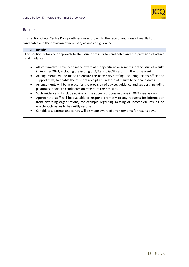

### Results

This section of our Centre Policy outlines our approach to the receipt and issue of results to candidates and the provision of necessary advice and guidance.

#### **A. Results**

This section details our approach to the issue of results to candidates and the provision of advice and guidance.

- All staff involved have been made aware of the specific arrangements for the issue of results in Summer 2021, including the issuing of A/AS and GCSE results in the same week.
- Arrangements will be made to ensure the necessary staffing, including exams office and support staff, to enable the efficient receipt and release of results to our candidates.
- Arrangements will be in place for the provision of advice, guidance and support, including pastoral support, to candidates on receipt of their results.
- Such guidance will include advice on the appeals process in place in 2021 (see below).
- Appropriate staff will be available to respond promptly to any requests for information from awarding organisations, for example regarding missing or incomplete results, to enable such issues to be swiftly resolved.
- Candidates, parents and carers will be made aware of arrangements for results days.